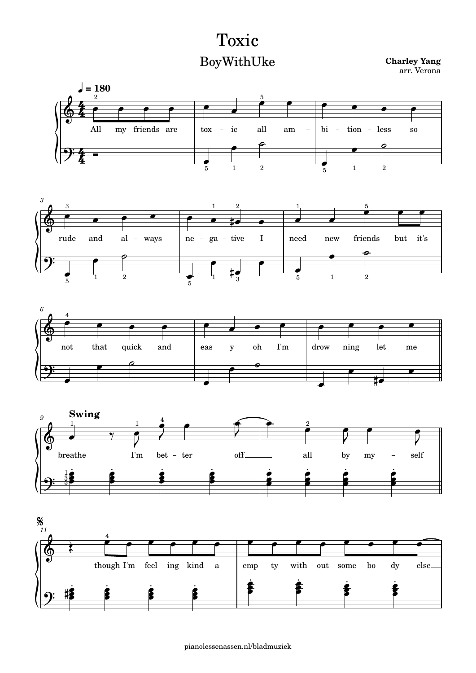## BoyWithUke Toxic

## **Charley Yang**









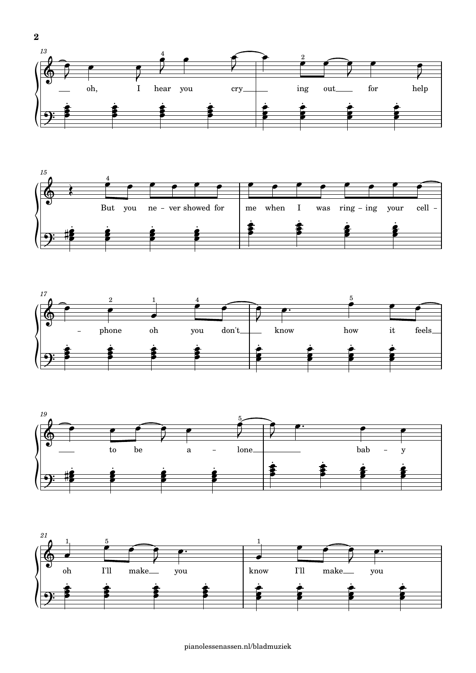







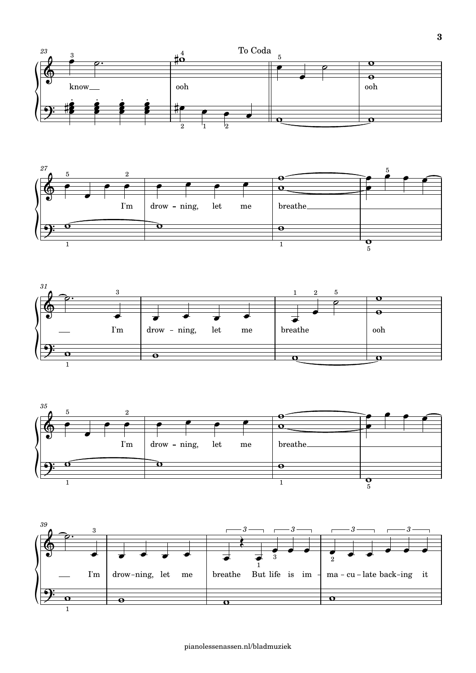







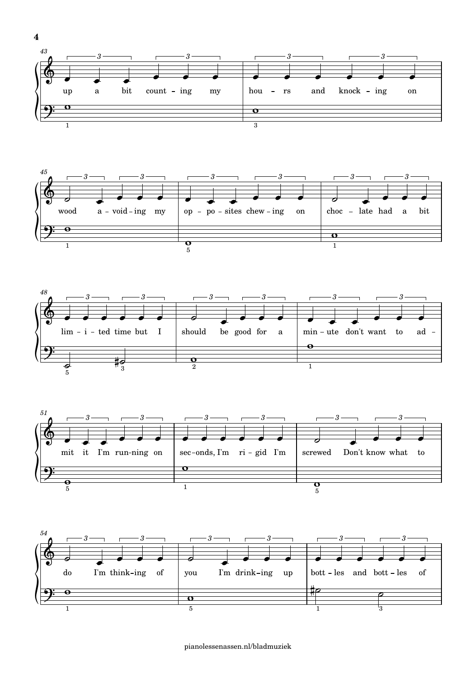![](_page_3_Figure_0.jpeg)

![](_page_3_Figure_1.jpeg)

![](_page_3_Figure_2.jpeg)

![](_page_3_Figure_3.jpeg)

![](_page_3_Figure_4.jpeg)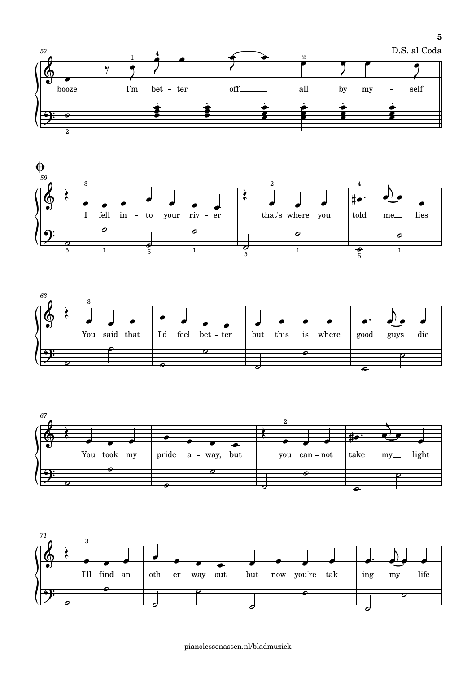![](_page_4_Figure_0.jpeg)

![](_page_4_Figure_1.jpeg)

![](_page_4_Figure_2.jpeg)

![](_page_4_Figure_3.jpeg)

![](_page_4_Figure_4.jpeg)

**5**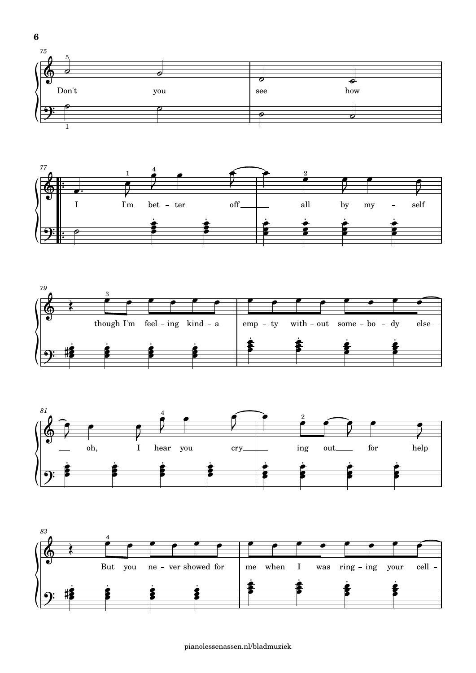![](_page_5_Figure_0.jpeg)

![](_page_5_Figure_1.jpeg)

![](_page_5_Figure_2.jpeg)

![](_page_5_Figure_3.jpeg)

![](_page_5_Figure_4.jpeg)

## **6**